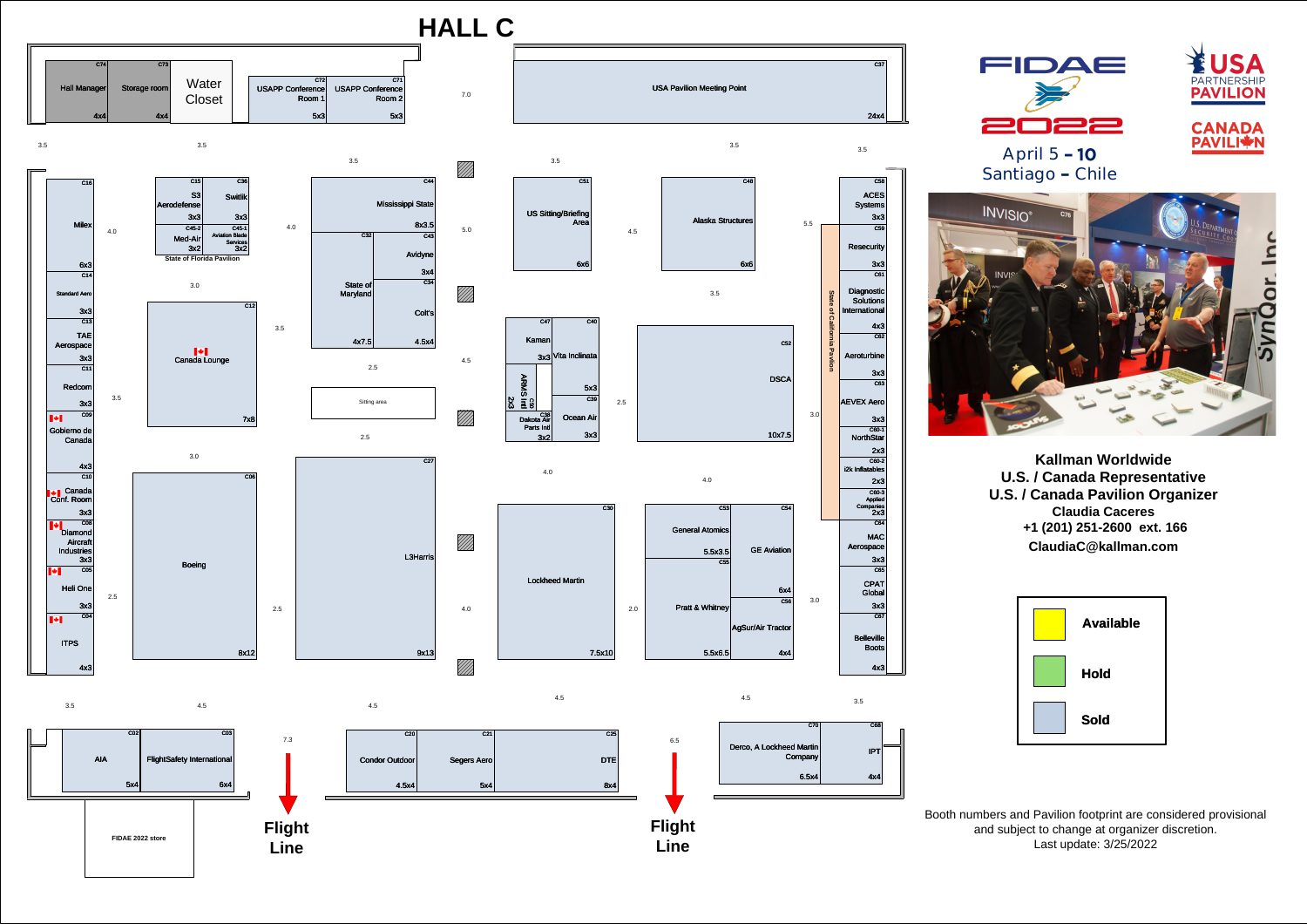C08

Diamond

 $\overline{C11}$ 

3x3

**Flight Line**



## **HALL C**

3.0

 $\overline{C54}$ 

2.5

4.0

2.5

4.0

////

4.5

7.0

4.0

3.5

3.0

**FIDAE 2022 store**

3.5

3.5

C16

Milex

6x3

C45-1

Aviation Blade Services 3x2

 $\blacksquare$ Gobierno de Canada

C65

CPAT Global

 $7.3$  6.5 C25 DTE 8x4  $C21$ Segers Aero 5x4

3x3

 $\overline{C67}$ 

**Belleville** 

C64

MAC

**Aerospace** 

3x3

 $C70$ Derco, A Lockheed Martin Company  $6.5x4$ C68 IPT 4x4

 $|C30|$ Lockheed Martin 7.5x10

4.5 3.5 4x3 C03 FlightSafety International  $6x4$  $CO2$ AIA 5x4

/////<br>///// 4.5

////

Boots

4x3

C12

Canada Lounge

 $\left\| \cdot \right\|$ 

7x8

ITPS

C05

 $\overline{CO4}$ 

Heli One

 $\left\| \cdot \right\|$ 

3x3

C09 Canada 4x3  $\overline{C10}$ 3x3

Conf. Room

Aircraf **Industries** 

3x3

Redcom

C06

Boeing

8x12





4.5

C<sub>53</sub>

 $5.5x3.5$ 

5.5x6.5 $|$ 

3.0

C36

Switlik

3x3

## **Kallman Worldwide U.S. / Canada Representative U.S. / Canada Pavilion Organizer Claudia Caceres +1 (201) 251-2600 ext. 166 ClaudiaC@kallman.com**

|                                   |                                   |                 | C73          | C74                 |
|-----------------------------------|-----------------------------------|-----------------|--------------|---------------------|
| C71<br>USAPP Conference<br>Room 2 | C72<br>USAPP Conference<br>Room 1 | Water<br>Closet | Storage room | <b>Hall Manager</b> |
| 5x3                               | 5x3                               |                 | 4x4          | 4x4                 |



Booth numbers and Pavilion footprint are considered provisional and subject to change at organizer discretion. Last update: 3/25/2022



6x4 C56

 $4x4$ 

**GE** Aviation

AgSur/Air Tractor

TAE

Aerospace

3x3

 $\overline{C13}$ 

C15

S3

Aerodefense

3x3

C55

General Atomics

Pratt & Whitney

2.0







C45-2

 $3x2$ 

Med-Air

**State of Florida Pavilion**

2x3

C60-2

i2k Inflatables



2x3 C60-3 Applied **Companies** 2x3

C14

Standard Aero

3x3

4.0

4.5